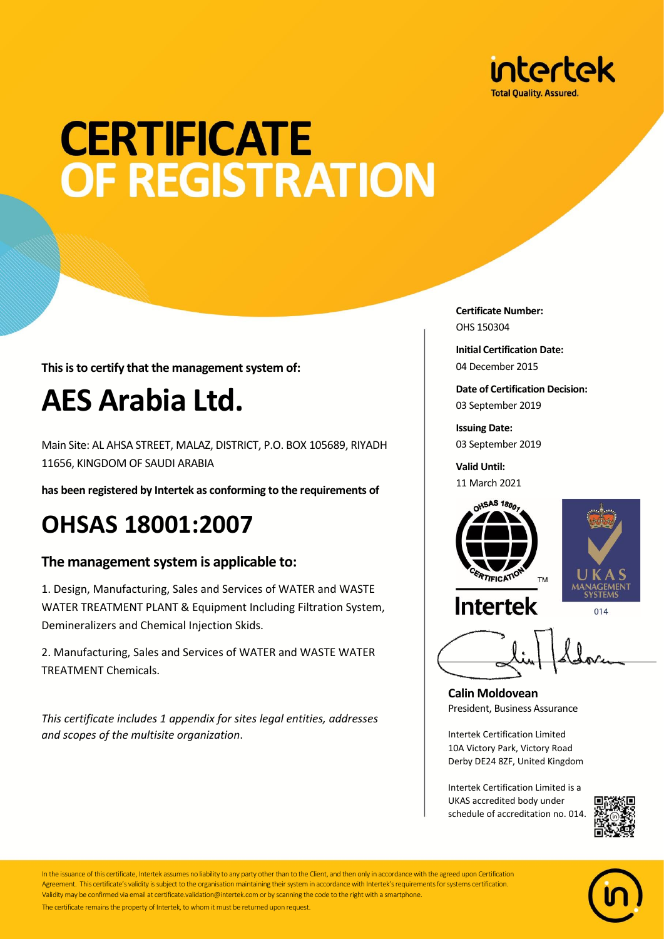

# **CERTIFICATE OF REGISTRATION**

**This is to certify that the management system of:**

## **AES Arabia Ltd.**

Main Site: AL AHSA STREET, MALAZ, DISTRICT, P.O. BOX 105689, RIYADH 11656, KINGDOM OF SAUDI ARABIA

**has been registered by Intertek as conforming to the requirements of**

### **OHSAS 18001:2007**

#### **The management system is applicable to:**

1. Design, Manufacturing, Sales and Services of WATER and WASTE WATER TREATMENT PLANT & Equipment Including Filtration System, Demineralizers and Chemical Injection Skids.

2. Manufacturing, Sales and Services of WATER and WASTE WATER TREATMENT Chemicals.

*This certificate includes 1 appendix for sites legal entities, addresses and scopes of the multisite organization*.

**Certificate Number:** OHS 150304

**Initial Certification Date:** 04 December 2015

**Date of Certification Decision:** 03 September 2019

**Issuing Date:** 03 September 2019

**Valid Until:** 11 March 2021



**Calin Moldovean** President, Business Assurance

Intertek Certification Limited 10A Victory Park, Victory Road Derby DE24 8ZF, United Kingdom

Intertek Certification Limited is a UKAS accredited body under schedule of accreditation no. 014.





In the issuance of this certificate, Intertek assumes no liability to any party other than to the Client, and then only in accordance with the agreed upon Certification Agreement. This certificate's validity is subject to the organisation maintaining their system in accordance with Intertek's requirements for systems certification. Validity may be confirmed via email at certificate.validation@intertek.com or by scanning the code to the right with a smartphone. The certificate remains the property of Intertek, to whom it must be returned upon request